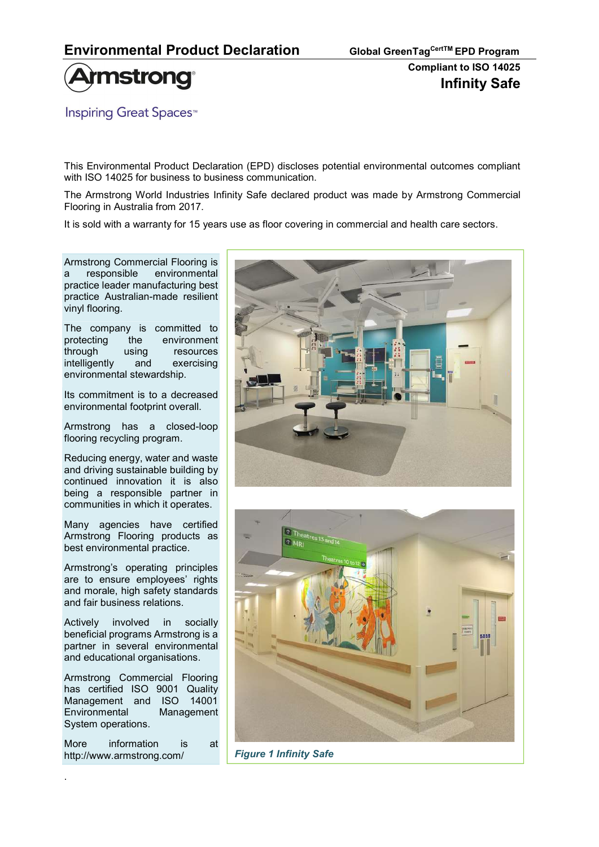

**Inspiring Great Spaces**<sup>™</sup>

This Environmental Product Declaration (EPD) discloses potential environmental outcomes compliant with ISO 14025 for business to business communication.

The Armstrong World Industries Infinity Safe declared product was made by Armstrong Commercial Flooring in Australia from 2017.

It is sold with a warranty for 15 years use as floor covering in commercial and health care sectors.

Armstrong Commercial Flooring is a responsible environmental practice leader manufacturing best practice Australian-made resilient vinyl flooring.

The company is committed to protecting the environment through using resources intelligently and exercising environmental stewardship.

Its commitment is to a decreased environmental footprint overall.

Armstrong has a closed-loop flooring recycling program.

Reducing energy, water and waste and driving sustainable building by continued innovation it is also being a responsible partner in communities in which it operates.

Many agencies have certified Armstrong Flooring products as best environmental practice.

Armstrong's operating principles are to ensure employees' rights and morale, high safety standards and fair business relations.

Actively involved in socially beneficial programs Armstrong is a partner in several environmental and educational organisations.

Armstrong Commercial Flooring has certified ISO 9001 Quality Management and ISO 14001 Environmental Management System operations.

More information is at http://www.armstrong.com/

.





Figure 1 Infinity Safe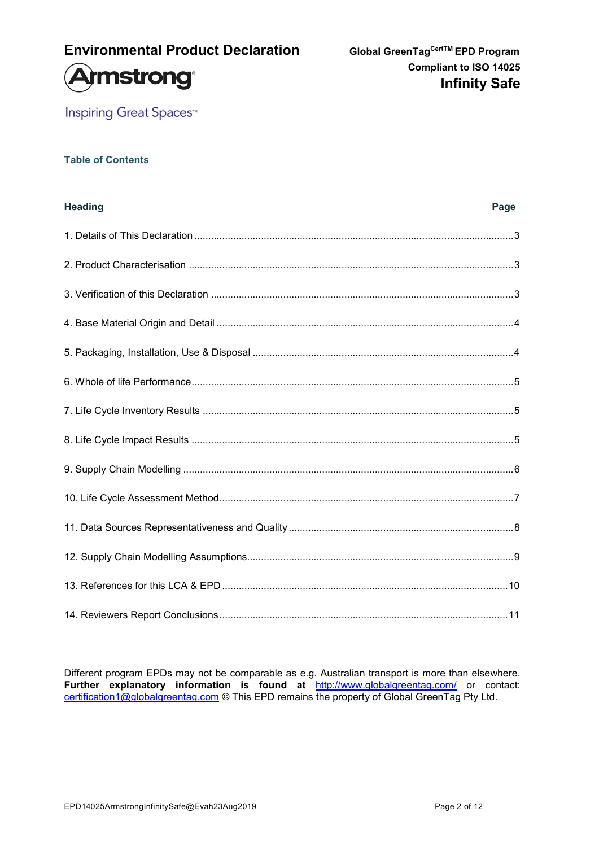



**Inspiring Great Spaces<sup>™</sup>** 

## Table of Contents

| <b>Heading</b> | Page |
|----------------|------|
|                |      |
|                |      |
|                |      |
|                |      |
|                |      |
|                |      |
|                |      |
|                |      |
|                |      |
|                |      |
|                |      |
|                |      |
|                |      |
|                |      |

Different program EPDs may not be comparable as e.g. Australian transport is more than elsewhere. Further explanatory information is found at http://www.globalgreentag.com/ or contact: certification1@globalgreentag.com © This EPD remains the property of Global GreenTag Pty Ltd.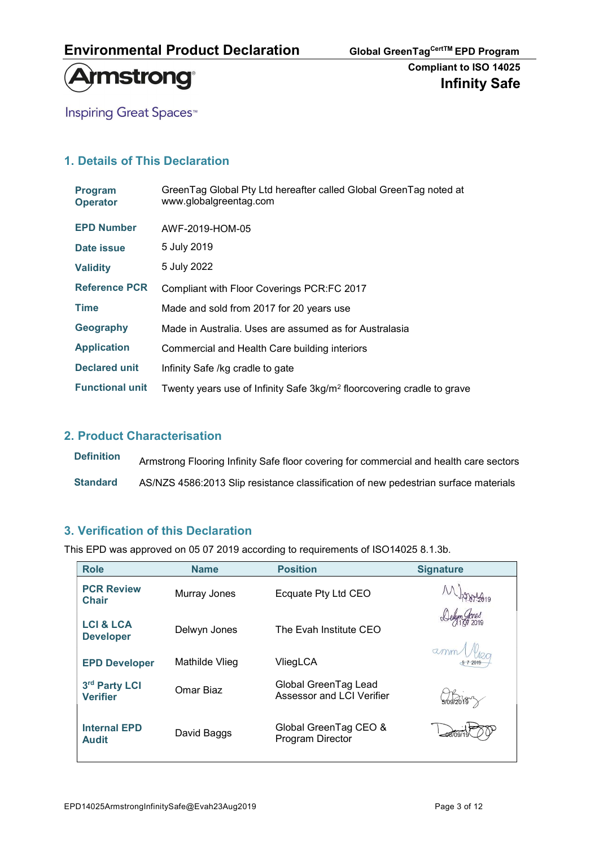



**Inspiring Great Spaces<sup>™</sup>** 

## 1. Details of This Declaration

| <b>Program</b><br><b>Operator</b> | GreenTag Global Pty Ltd hereafter called Global GreenTag noted at<br>www.globalgreentag.com |
|-----------------------------------|---------------------------------------------------------------------------------------------|
| <b>EPD Number</b>                 | AWF-2019-HOM-05                                                                             |
| Date issue                        | 5 July 2019                                                                                 |
| <b>Validity</b>                   | 5 July 2022                                                                                 |
| <b>Reference PCR</b>              | Compliant with Floor Coverings PCR:FC 2017                                                  |
| <b>Time</b>                       | Made and sold from 2017 for 20 years use                                                    |
| Geography                         | Made in Australia. Uses are assumed as for Australasia                                      |
| <b>Application</b>                | Commercial and Health Care building interiors                                               |
| <b>Declared unit</b>              | Infinity Safe /kg cradle to gate                                                            |
| <b>Functional unit</b>            | Twenty years use of Infinity Safe 3kg/m <sup>2</sup> floorcovering cradle to grave          |

### 2. Product Characterisation

Definition Armstrong Flooring Infinity Safe floor covering for commercial and health care sectors Standard AS/NZS 4586:2013 Slip resistance classification of new pedestrian surface materials

## 3. Verification of this Declaration

This EPD was approved on 05 07 2019 according to requirements of ISO14025 8.1.3b.

| <b>Role</b>                              | <b>Name</b>    | <b>Position</b>                                   | <b>Signature</b> |
|------------------------------------------|----------------|---------------------------------------------------|------------------|
| <b>PCR Review</b><br><b>Chair</b>        | Murray Jones   | Ecquate Pty Ltd CEO                               |                  |
| <b>LCI &amp; LCA</b><br><b>Developer</b> | Delwyn Jones   | The Evah Institute CEO                            |                  |
| <b>EPD Developer</b>                     | Mathilde Vlieg | VliegLCA                                          | amm              |
| 3rd Party LCI<br><b>Verifier</b>         | Omar Biaz      | Global GreenTag Lead<br>Assessor and LCI Verifier | 709/2019         |
| <b>Internal EPD</b><br><b>Audit</b>      | David Baggs    | Global GreenTag CEO &<br>Program Director         |                  |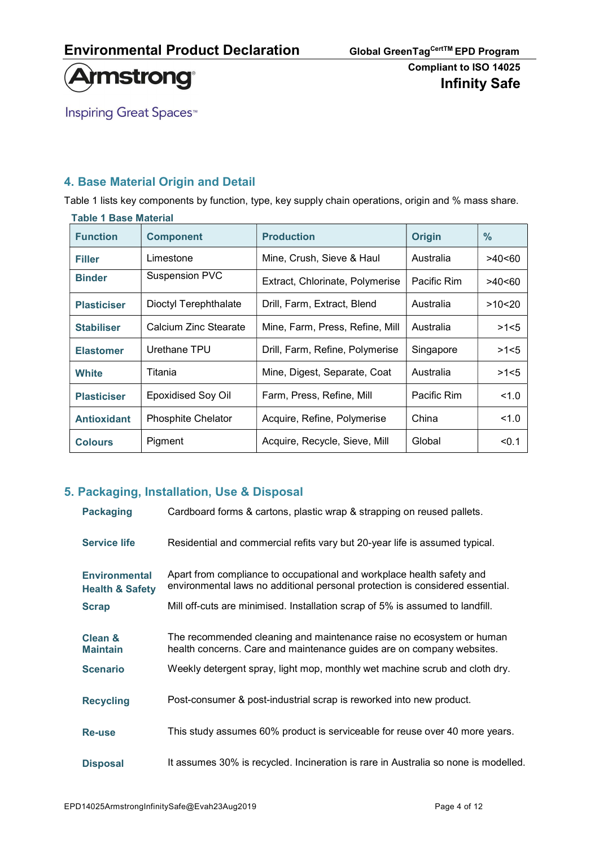

**Inspiring Great Spaces<sup>™</sup>** 

## 4. Base Material Origin and Detail

Table 1 lists key components by function, type, key supply chain operations, origin and % mass share.

#### Table 1 Base Material

| <b>Function</b>    | <b>Component</b>          | <b>Production</b>               | <b>Origin</b> | $\%$   |
|--------------------|---------------------------|---------------------------------|---------------|--------|
| <b>Filler</b>      | Limestone                 | Mine, Crush, Sieve & Haul       | Australia     | >40<60 |
| <b>Binder</b>      | <b>Suspension PVC</b>     | Extract, Chlorinate, Polymerise | Pacific Rim   | >40<60 |
| <b>Plasticiser</b> | Dioctyl Terephthalate     | Drill, Farm, Extract, Blend     | Australia     | >10<20 |
| <b>Stabiliser</b>  | Calcium Zinc Stearate     | Mine, Farm, Press, Refine, Mill | Australia     | >1<5   |
| <b>Elastomer</b>   | Urethane TPU              | Drill, Farm, Refine, Polymerise | Singapore     | >1<5   |
| White              | Titania                   | Mine, Digest, Separate, Coat    | Australia     | >1<5   |
| <b>Plasticiser</b> | <b>Epoxidised Soy Oil</b> | Farm, Press, Refine, Mill       | Pacific Rim   | 1.0    |
| <b>Antioxidant</b> | <b>Phosphite Chelator</b> | Acquire, Refine, Polymerise     | China         | 1.0    |
| <b>Colours</b>     | Pigment                   | Acquire, Recycle, Sieve, Mill   | Global        | < 0.1  |

## 5. Packaging, Installation, Use & Disposal

| <b>Packaging</b>                                   | Cardboard forms & cartons, plastic wrap & strapping on reused pallets.                                                                                 |
|----------------------------------------------------|--------------------------------------------------------------------------------------------------------------------------------------------------------|
| <b>Service life</b>                                | Residential and commercial refits vary but 20-year life is assumed typical.                                                                            |
| <b>Environmental</b><br><b>Health &amp; Safety</b> | Apart from compliance to occupational and workplace health safety and<br>environmental laws no additional personal protection is considered essential. |
| <b>Scrap</b>                                       | Mill off-cuts are minimised. Installation scrap of 5% is assumed to landfill.                                                                          |
| Clean &<br><b>Maintain</b>                         | The recommended cleaning and maintenance raise no ecosystem or human<br>health concerns. Care and maintenance guides are on company websites.          |
| <b>Scenario</b>                                    | Weekly detergent spray, light mop, monthly wet machine scrub and cloth dry.                                                                            |
| <b>Recycling</b>                                   | Post-consumer & post-industrial scrap is reworked into new product.                                                                                    |
| <b>Re-use</b>                                      | This study assumes 60% product is serviceable for reuse over 40 more years.                                                                            |
| <b>Disposal</b>                                    | It assumes 30% is recycled. Incineration is rare in Australia so none is modelled.                                                                     |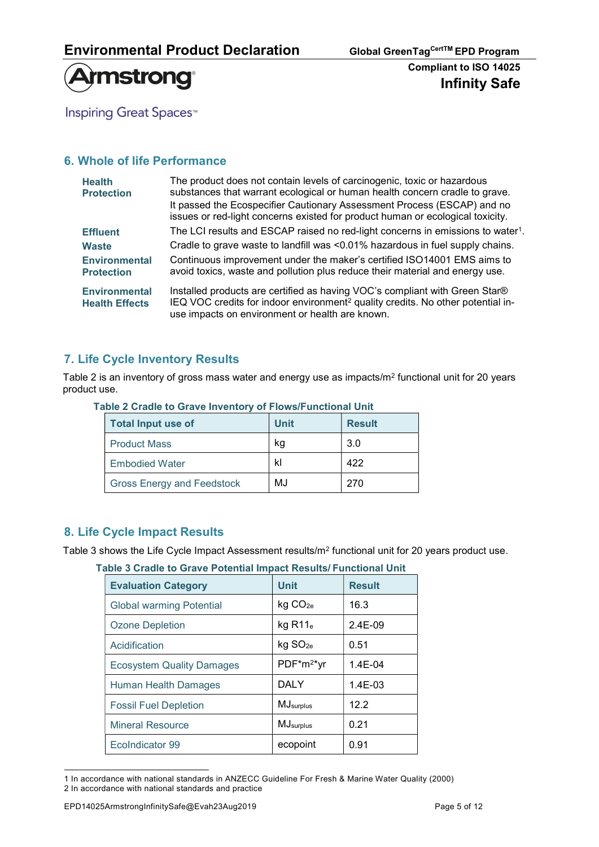

**Inspiring Great Spaces<sup>™</sup>** 

## 6. Whole of life Performance

| <b>Health</b><br><b>Protection</b>            | The product does not contain levels of carcinogenic, toxic or hazardous<br>substances that warrant ecological or human health concern cradle to grave.<br>It passed the Ecospecifier Cautionary Assessment Process (ESCAP) and no<br>issues or red-light concerns existed for product human or ecological toxicity. |
|-----------------------------------------------|---------------------------------------------------------------------------------------------------------------------------------------------------------------------------------------------------------------------------------------------------------------------------------------------------------------------|
| <b>Effluent</b>                               | The LCI results and ESCAP raised no red-light concerns in emissions to water <sup>1</sup> .                                                                                                                                                                                                                         |
| <b>Waste</b>                                  | Cradle to grave waste to landfill was <0.01% hazardous in fuel supply chains.                                                                                                                                                                                                                                       |
| <b>Environmental</b><br><b>Protection</b>     | Continuous improvement under the maker's certified ISO14001 EMS aims to<br>avoid toxics, waste and pollution plus reduce their material and energy use.                                                                                                                                                             |
| <b>Environmental</b><br><b>Health Effects</b> | Installed products are certified as having VOC's compliant with Green Star®<br>IEQ VOC credits for indoor environment <sup>2</sup> quality credits. No other potential in-<br>use impacts on environment or health are known.                                                                                       |

## 7. Life Cycle Inventory Results

Table 2 is an inventory of gross mass water and energy use as impacts/m<sup>2</sup> functional unit for 20 years product use.

| <b>Total Input use of</b>         | <b>Unit</b> | <b>Result</b> |
|-----------------------------------|-------------|---------------|
| <b>Product Mass</b>               | ka          | 3.0           |
| <b>Embodied Water</b>             | kl          | 422           |
| <b>Gross Energy and Feedstock</b> | MJ          | 270           |

#### Table 2 Cradle to Grave Inventory of Flows/Functional Unit

### 8. Life Cycle Impact Results

Table 3 shows the Life Cycle Impact Assessment results/m<sup>2</sup> functional unit for 20 years product use.

|  |  |  |  | Table 3 Cradle to Grave Potential Impact Results/ Functional Unit |  |
|--|--|--|--|-------------------------------------------------------------------|--|
|  |  |  |  |                                                                   |  |

| <b>Evaluation Category</b>       | <b>Unit</b>            | <b>Result</b> |
|----------------------------------|------------------------|---------------|
| <b>Global warming Potential</b>  | kg CO <sub>2e</sub>    | 16.3          |
| <b>Ozone Depletion</b>           | $kg$ R11 $_e$          | $2.4E-09$     |
| Acidification                    | kg SO <sub>2e</sub>    | 0.51          |
| <b>Ecosystem Quality Damages</b> | PDF*m <sup>2*</sup> yr | $1.4E - 04$   |
| Human Health Damages             | <b>DALY</b>            | $1.4E-03$     |
| <b>Fossil Fuel Depletion</b>     | MJ <sub>surplus</sub>  | 12.2          |
| <b>Mineral Resource</b>          | MJ <sub>surplus</sub>  | 0.21          |
| EcoIndicator 99                  | ecopoint               | 0.91          |

<sup>1</sup> In accordance with national standards in ANZECC Guideline For Fresh & Marine Water Quality (2000) 2 In accordance with national standards and practice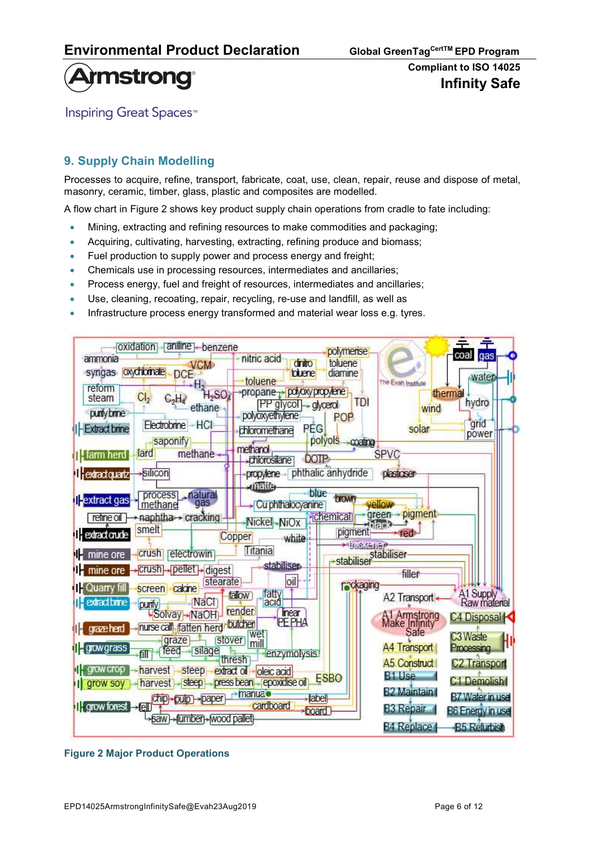

**Inspiring Great Spaces**<sup>™</sup>

## 9. Supply Chain Modelling

Processes to acquire, refine, transport, fabricate, coat, use, clean, repair, reuse and dispose of metal, masonry, ceramic, timber, glass, plastic and composites are modelled.

A flow chart in Figure 2 shows key product supply chain operations from cradle to fate including:

- Mining, extracting and refining resources to make commodities and packaging;
- Acquiring, cultivating, harvesting, extracting, refining produce and biomass;
- Fuel production to supply power and process energy and freight;
- Chemicals use in processing resources, intermediates and ancillaries;
- Process energy, fuel and freight of resources, intermediates and ancillaries;
- Use, cleaning, recoating, repair, recycling, re-use and landfill, as well as
- Infrastructure process energy transformed and material wear loss e.g. tyres.



Figure 2 Major Product Operations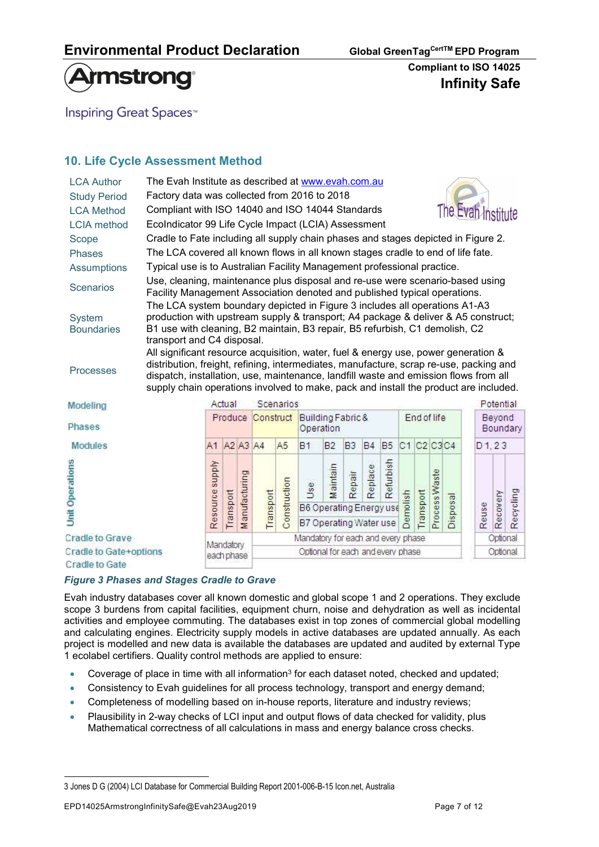

**Inspiring Great Spaces**<sup>™</sup>

## 10. Life Cycle Assessment Method

| <b>LCA Author</b>                  | The Evah Institute as described at www.evah.com.au                                                                                                                                                                                                                                                                                                           |                                                                                                                                                                                                                                                                              |                                                              |                   |           |                |                                                          |                |                |           |             |                 |           |               |                    |       |           |           |
|------------------------------------|--------------------------------------------------------------------------------------------------------------------------------------------------------------------------------------------------------------------------------------------------------------------------------------------------------------------------------------------------------------|------------------------------------------------------------------------------------------------------------------------------------------------------------------------------------------------------------------------------------------------------------------------------|--------------------------------------------------------------|-------------------|-----------|----------------|----------------------------------------------------------|----------------|----------------|-----------|-------------|-----------------|-----------|---------------|--------------------|-------|-----------|-----------|
| <b>Study Period</b>                |                                                                                                                                                                                                                                                                                                                                                              | Factory data was collected from 2016 to 2018                                                                                                                                                                                                                                 |                                                              |                   |           |                |                                                          |                |                |           |             |                 |           |               |                    |       |           |           |
| <b>LCA Method</b>                  |                                                                                                                                                                                                                                                                                                                                                              | The Evah Institute<br>Compliant with ISO 14040 and ISO 14044 Standards                                                                                                                                                                                                       |                                                              |                   |           |                |                                                          |                |                |           |             |                 |           |               |                    |       |           |           |
| <b>LCIA</b> method                 |                                                                                                                                                                                                                                                                                                                                                              | EcoIndicator 99 Life Cycle Impact (LCIA) Assessment                                                                                                                                                                                                                          |                                                              |                   |           |                |                                                          |                |                |           |             |                 |           |               |                    |       |           |           |
| Scope                              |                                                                                                                                                                                                                                                                                                                                                              | Cradle to Fate including all supply chain phases and stages depicted in Figure 2.                                                                                                                                                                                            |                                                              |                   |           |                |                                                          |                |                |           |             |                 |           |               |                    |       |           |           |
| <b>Phases</b>                      |                                                                                                                                                                                                                                                                                                                                                              | The LCA covered all known flows in all known stages cradle to end of life fate.                                                                                                                                                                                              |                                                              |                   |           |                |                                                          |                |                |           |             |                 |           |               |                    |       |           |           |
| <b>Assumptions</b>                 |                                                                                                                                                                                                                                                                                                                                                              | Typical use is to Australian Facility Management professional practice.                                                                                                                                                                                                      |                                                              |                   |           |                |                                                          |                |                |           |             |                 |           |               |                    |       |           |           |
| <b>Scenarios</b>                   | Use, cleaning, maintenance plus disposal and re-use were scenario-based using<br>Facility Management Association denoted and published typical operations.                                                                                                                                                                                                   |                                                                                                                                                                                                                                                                              |                                                              |                   |           |                |                                                          |                |                |           |             |                 |           |               |                    |       |           |           |
| <b>System</b><br><b>Boundaries</b> |                                                                                                                                                                                                                                                                                                                                                              | The LCA system boundary depicted in Figure 3 includes all operations A1-A3<br>production with upstream supply & transport; A4 package & deliver & A5 construct;<br>B1 use with cleaning, B2 maintain, B3 repair, B5 refurbish, C1 demolish, C2<br>transport and C4 disposal. |                                                              |                   |           |                |                                                          |                |                |           |             |                 |           |               |                    |       |           |           |
| <b>Processes</b>                   | All significant resource acquisition, water, fuel & energy use, power generation &<br>distribution, freight, refining, intermediates, manufacture, scrap re-use, packing and<br>dispatch, installation, use, maintenance, landfill waste and emission flows from all<br>supply chain operations involved to make, pack and install the product are included. |                                                                                                                                                                                                                                                                              |                                                              |                   |           |                |                                                          |                |                |           |             |                 |           |               |                    |       |           |           |
| Modeling                           |                                                                                                                                                                                                                                                                                                                                                              |                                                                                                                                                                                                                                                                              | Actual                                                       |                   |           | Scenarios      |                                                          |                |                |           |             |                 |           |               |                    |       | Potential |           |
| Phases                             |                                                                                                                                                                                                                                                                                                                                                              |                                                                                                                                                                                                                                                                              | Produce                                                      |                   | Construct |                | Building Fabric &<br>Operation                           |                |                |           | End of life |                 |           |               | Beyond<br>Boundary |       |           |           |
| <b>Modules</b>                     |                                                                                                                                                                                                                                                                                                                                                              | A1                                                                                                                                                                                                                                                                           |                                                              | A2 A3 A4          |           | A <sub>5</sub> | <b>B1</b>                                                | B <sub>2</sub> | B <sub>3</sub> | <b>B4</b> | <b>B5</b>   | C1 C2 C3 C4     |           |               |                    |       | D1, 23    |           |
| <b>Unit Operations</b>             |                                                                                                                                                                                                                                                                                                                                                              | Resource supply                                                                                                                                                                                                                                                              | Transport                                                    | anufacturing<br>Ξ | Transport | Construction   | Use<br>B6 Operating Energy use<br>B7 Operating Water use | Maintain       | Repair         | Replace   | Refurbish   | <b>Demolish</b> | Transport | Process Waste | <b>Disposal</b>    | Reuse | Recovery  | Recycling |
| <b>Cradle to Grave</b>             |                                                                                                                                                                                                                                                                                                                                                              |                                                                                                                                                                                                                                                                              |                                                              |                   |           |                | Mandatory for each and every phase                       |                |                |           |             |                 |           |               |                    |       | Optional  |           |
| Cradle to Gate+options             |                                                                                                                                                                                                                                                                                                                                                              |                                                                                                                                                                                                                                                                              | Mandatory<br>Optional for each and every phase<br>each nhase |                   |           |                |                                                          |                | Optional       |           |             |                 |           |               |                    |       |           |           |

Cradle to Gate

#### Figure 3 Phases and Stages Cradle to Grave

Evah industry databases cover all known domestic and global scope 1 and 2 operations. They exclude scope 3 burdens from capital facilities, equipment churn, noise and dehydration as well as incidental activities and employee commuting. The databases exist in top zones of commercial global modelling and calculating engines. Electricity supply models in active databases are updated annually. As each project is modelled and new data is available the databases are updated and audited by external Type 1 ecolabel certifiers. Quality control methods are applied to ensure:

- $\bullet$  Coverage of place in time with all information<sup>3</sup> for each dataset noted, checked and updated;
- Consistency to Evah guidelines for all process technology, transport and energy demand;
- Completeness of modelling based on in-house reports, literature and industry reviews;
- Plausibility in 2-way checks of LCI input and output flows of data checked for validity, plus Mathematical correctness of all calculations in mass and energy balance cross checks.

<sup>3</sup> Jones D G (2004) LCI Database for Commercial Building Report 2001-006-B-15 Icon.net, Australia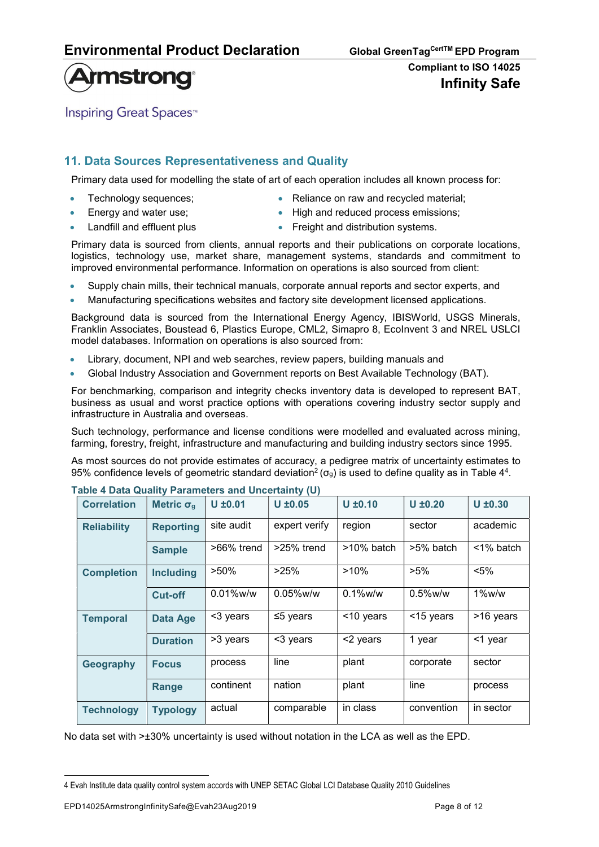# **Armstrong**

## Compliant to ISO 14025 Infinity Safe

**Inspiring Great Spaces**<sup>™</sup>

## 11. Data Sources Representativeness and Quality

Primary data used for modelling the state of art of each operation includes all known process for:

- 
- 
- Technology sequences;  $\bullet$  Reliance on raw and recycled material;
	- Energy and water use; **EXEC ADDEN ACCES** High and reduced process emissions;
- Landfill and effluent plus **Freight and distribution systems.**
- 

Primary data is sourced from clients, annual reports and their publications on corporate locations, logistics, technology use, market share, management systems, standards and commitment to improved environmental performance. Information on operations is also sourced from client:

- Supply chain mills, their technical manuals, corporate annual reports and sector experts, and
- Manufacturing specifications websites and factory site development licensed applications.

Background data is sourced from the International Energy Agency, IBISWorld, USGS Minerals, Franklin Associates, Boustead 6, Plastics Europe, CML2, Simapro 8, EcoInvent 3 and NREL USLCI model databases. Information on operations is also sourced from:

- Library, document, NPI and web searches, review papers, building manuals and
- Global Industry Association and Government reports on Best Available Technology (BAT).

For benchmarking, comparison and integrity checks inventory data is developed to represent BAT, business as usual and worst practice options with operations covering industry sector supply and infrastructure in Australia and overseas.

Such technology, performance and license conditions were modelled and evaluated across mining, farming, forestry, freight, infrastructure and manufacturing and building industry sectors since 1995.

As most sources do not provide estimates of accuracy, a pedigree matrix of uncertainty estimates to 95% confidence levels of geometric standard deviation<sup>2</sup> ( $\sigma_g$ ) is used to define quality as in Table 4<sup>4</sup>.

| <b>Correlation</b> | Metric $\sigma_{q}$ | $U \pm 0.01$               | $U \pm 0.05$   | $U \pm 0.10$  | $U \pm 0.20$ | $U \pm 0.30$    |  |
|--------------------|---------------------|----------------------------|----------------|---------------|--------------|-----------------|--|
| <b>Reliability</b> | <b>Reporting</b>    | site audit                 | expert verify  | region        | sector       | academic        |  |
|                    | <b>Sample</b>       | $>66\%$ trend              | $>25\%$ trend  | $>10\%$ batch | >5% batch    | $\leq$ 1% batch |  |
| <b>Completion</b>  | <b>Including</b>    | $>50\%$<br>>25%<br>$>10\%$ |                |               | $>5\%$       | $< 5\%$         |  |
|                    | Cut-off             | $0.01\%$ w/w               | $0.05\%$ w/w   | $0.1\%$ w/w   | $0.5\%$ w/w  | $1\%$ w/w       |  |
| <b>Temporal</b>    | <b>Data Age</b>     | <3 years                   | $\leq$ 5 years | <10 years     | <15 years    | >16 years       |  |
|                    | <b>Duration</b>     | >3 years                   | <3 years       | <2 years      | 1 year       | <1 year         |  |
| Geography          | <b>Focus</b>        | process                    | line           | plant         | corporate    | sector          |  |
|                    | Range               | continent                  | nation         | plant         | line         | process         |  |
| <b>Technology</b>  | <b>Typology</b>     | actual                     | comparable     | in class      | convention   | in sector       |  |

#### Table 4 Data Quality Parameters and Uncertainty (U)

No data set with >±30% uncertainty is used without notation in the LCA as well as the EPD.

<sup>4</sup> Evah Institute data quality control system accords with UNEP SETAC Global LCI Database Quality 2010 Guidelines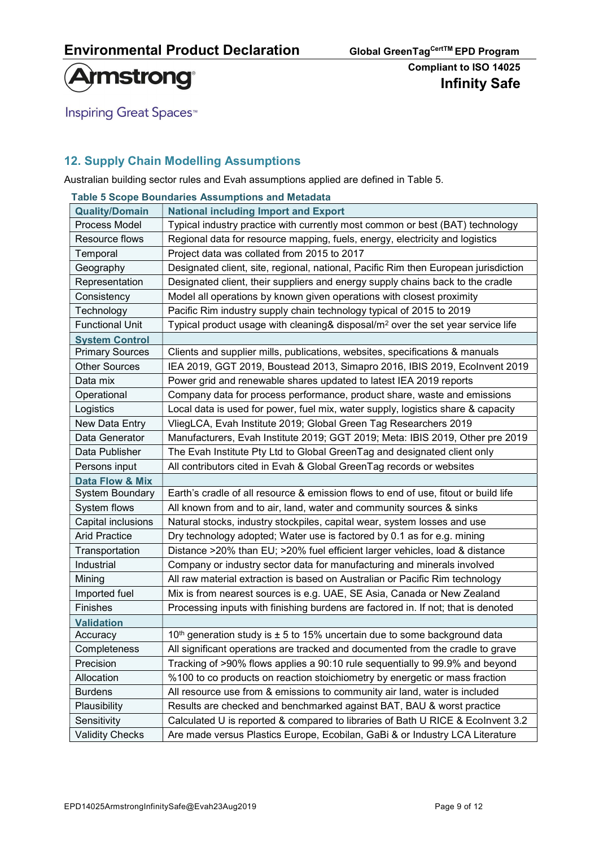

**Inspiring Great Spaces<sup>™</sup>** 

## 12. Supply Chain Modelling Assumptions

Australian building sector rules and Evah assumptions applied are defined in Table 5.

|                        | Table 5 Scope Boundaries Assumptions and Metadata                                           |
|------------------------|---------------------------------------------------------------------------------------------|
| <b>Quality/Domain</b>  | <b>National including Import and Export</b>                                                 |
| Process Model          | Typical industry practice with currently most common or best (BAT) technology               |
| Resource flows         | Regional data for resource mapping, fuels, energy, electricity and logistics                |
| Temporal               | Project data was collated from 2015 to 2017                                                 |
| Geography              | Designated client, site, regional, national, Pacific Rim then European jurisdiction         |
| Representation         | Designated client, their suppliers and energy supply chains back to the cradle              |
| Consistency            | Model all operations by known given operations with closest proximity                       |
| Technology             | Pacific Rim industry supply chain technology typical of 2015 to 2019                        |
| <b>Functional Unit</b> | Typical product usage with cleaning& disposal/m <sup>2</sup> over the set year service life |
| <b>System Control</b>  |                                                                                             |
| <b>Primary Sources</b> | Clients and supplier mills, publications, websites, specifications & manuals                |
| <b>Other Sources</b>   | IEA 2019, GGT 2019, Boustead 2013, Simapro 2016, IBIS 2019, Ecolnvent 2019                  |
| Data mix               | Power grid and renewable shares updated to latest IEA 2019 reports                          |
| Operational            | Company data for process performance, product share, waste and emissions                    |
| Logistics              | Local data is used for power, fuel mix, water supply, logistics share & capacity            |
| New Data Entry         | VliegLCA, Evah Institute 2019; Global Green Tag Researchers 2019                            |
| Data Generator         | Manufacturers, Evah Institute 2019; GGT 2019; Meta: IBIS 2019, Other pre 2019               |
| Data Publisher         | The Evah Institute Pty Ltd to Global GreenTag and designated client only                    |
| Persons input          | All contributors cited in Evah & Global GreenTag records or websites                        |
| Data Flow & Mix        |                                                                                             |
| System Boundary        | Earth's cradle of all resource & emission flows to end of use, fitout or build life         |
| System flows           | All known from and to air, land, water and community sources & sinks                        |
| Capital inclusions     | Natural stocks, industry stockpiles, capital wear, system losses and use                    |
| <b>Arid Practice</b>   | Dry technology adopted; Water use is factored by 0.1 as for e.g. mining                     |
| Transportation         | Distance >20% than EU; >20% fuel efficient larger vehicles, load & distance                 |
| Industrial             | Company or industry sector data for manufacturing and minerals involved                     |
| Mining                 | All raw material extraction is based on Australian or Pacific Rim technology                |
| Imported fuel          | Mix is from nearest sources is e.g. UAE, SE Asia, Canada or New Zealand                     |
| Finishes               | Processing inputs with finishing burdens are factored in. If not; that is denoted           |
| <b>Validation</b>      |                                                                                             |
| Accuracy               | 10 <sup>th</sup> generation study is $\pm$ 5 to 15% uncertain due to some background data   |
| Completeness           | All significant operations are tracked and documented from the cradle to grave              |
| Precision              | Tracking of >90% flows applies a 90:10 rule sequentially to 99.9% and beyond                |
| Allocation             | %100 to co products on reaction stoichiometry by energetic or mass fraction                 |
| <b>Burdens</b>         | All resource use from & emissions to community air land, water is included                  |
| Plausibility           | Results are checked and benchmarked against BAT, BAU & worst practice                       |
| Sensitivity            | Calculated U is reported & compared to libraries of Bath U RICE & Ecolnvent 3.2             |
| <b>Validity Checks</b> | Are made versus Plastics Europe, Ecobilan, GaBi & or Industry LCA Literature                |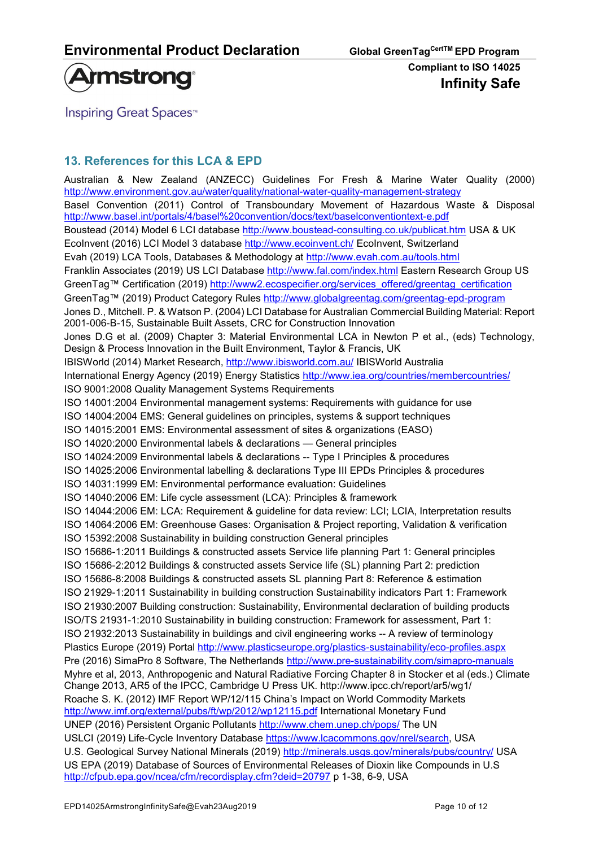

**Inspiring Great Spaces**<sup>™</sup>

## 13. References for this LCA & EPD

Australian & New Zealand (ANZECC) Guidelines For Fresh & Marine Water Quality (2000) http://www.environment.gov.au/water/quality/national-water-quality-management-strategy Basel Convention (2011) Control of Transboundary Movement of Hazardous Waste & Disposal http://www.basel.int/portals/4/basel%20convention/docs/text/baselconventiontext-e.pdf Boustead (2014) Model 6 LCI database http://www.boustead-consulting.co.uk/publicat.htm USA & UK EcoInvent (2016) LCI Model 3 database http://www.ecoinvent.ch/ EcoInvent, Switzerland Evah (2019) LCA Tools, Databases & Methodology at http://www.evah.com.au/tools.html Franklin Associates (2019) US LCI Database http://www.fal.com/index.html Eastern Research Group US GreenTag™ Certification (2019) http://www2.ecospecifier.org/services\_offered/greentag\_certification GreenTag™ (2019) Product Category Rules http://www.globalgreentag.com/greentag-epd-program Jones D., Mitchell. P. & Watson P. (2004) LCI Database for Australian Commercial Building Material: Report 2001-006-B-15, Sustainable Built Assets, CRC for Construction Innovation Jones D.G et al. (2009) Chapter 3: Material Environmental LCA in Newton P et al., (eds) Technology, Design & Process Innovation in the Built Environment, Taylor & Francis, UK IBISWorld (2014) Market Research, http://www.ibisworld.com.au/ IBISWorld Australia International Energy Agency (2019) Energy Statistics http://www.iea.org/countries/membercountries/ ISO 9001:2008 Quality Management Systems Requirements ISO 14001:2004 Environmental management systems: Requirements with guidance for use ISO 14004:2004 EMS: General guidelines on principles, systems & support techniques ISO 14015:2001 EMS: Environmental assessment of sites & organizations (EASO) ISO 14020:2000 Environmental labels & declarations — General principles ISO 14024:2009 Environmental labels & declarations -- Type I Principles & procedures ISO 14025:2006 Environmental labelling & declarations Type III EPDs Principles & procedures ISO 14031:1999 EM: Environmental performance evaluation: Guidelines ISO 14040:2006 EM: Life cycle assessment (LCA): Principles & framework ISO 14044:2006 EM: LCA: Requirement & guideline for data review: LCI; LCIA, Interpretation results ISO 14064:2006 EM: Greenhouse Gases: Organisation & Project reporting, Validation & verification ISO 15392:2008 Sustainability in building construction General principles ISO 15686-1:2011 Buildings & constructed assets Service life planning Part 1: General principles ISO 15686-2:2012 Buildings & constructed assets Service life (SL) planning Part 2: prediction ISO 15686-8:2008 Buildings & constructed assets SL planning Part 8: Reference & estimation ISO 21929-1:2011 Sustainability in building construction Sustainability indicators Part 1: Framework ISO 21930:2007 Building construction: Sustainability, Environmental declaration of building products ISO/TS 21931-1:2010 Sustainability in building construction: Framework for assessment, Part 1: ISO 21932:2013 Sustainability in buildings and civil engineering works -- A review of terminology Plastics Europe (2019) Portal http://www.plasticseurope.org/plastics-sustainability/eco-profiles.aspx Pre (2016) SimaPro 8 Software, The Netherlands http://www.pre-sustainability.com/simapro-manuals Myhre et al, 2013, Anthropogenic and Natural Radiative Forcing Chapter 8 in Stocker et al (eds.) Climate Change 2013, AR5 of the IPCC, Cambridge U Press UK. http://www.ipcc.ch/report/ar5/wg1/ Roache S. K. (2012) IMF Report WP/12/115 China's Impact on World Commodity Markets http://www.imf.org/external/pubs/ft/wp/2012/wp12115.pdf International Monetary Fund UNEP (2016) Persistent Organic Pollutants http://www.chem.unep.ch/pops/ The UN USLCI (2019) Life-Cycle Inventory Database https://www.lcacommons.gov/nrel/search, USA U.S. Geological Survey National Minerals (2019) http://minerals.usgs.gov/minerals/pubs/country/ USA US EPA (2019) Database of Sources of Environmental Releases of Dioxin like Compounds in U.S http://cfpub.epa.gov/ncea/cfm/recordisplay.cfm?deid=20797 p 1-38, 6-9, USA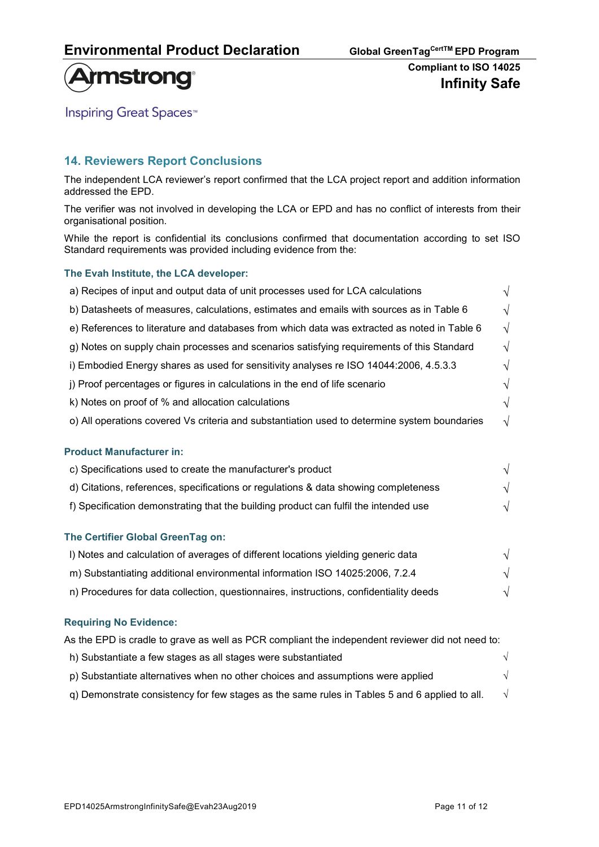

# **Armstrong**

**Inspiring Great Spaces<sup>™</sup>** 

## 14. Reviewers Report Conclusions

The independent LCA reviewer's report confirmed that the LCA project report and addition information addressed the EPD.

The verifier was not involved in developing the LCA or EPD and has no conflict of interests from their organisational position.

While the report is confidential its conclusions confirmed that documentation according to set ISO Standard requirements was provided including evidence from the:

#### The Evah Institute, the LCA developer:

| a) Recipes of input and output data of unit processes used for LCA calculations              | $\sqrt{ }$ |
|----------------------------------------------------------------------------------------------|------------|
| b) Datasheets of measures, calculations, estimates and emails with sources as in Table 6     | $\sqrt{ }$ |
| e) References to literature and databases from which data was extracted as noted in Table 6  | $\sqrt{ }$ |
| g) Notes on supply chain processes and scenarios satisfying requirements of this Standard    | $\sqrt{ }$ |
| i) Embodied Energy shares as used for sensitivity analyses re ISO 14044:2006, 4.5.3.3        | $\sqrt{ }$ |
| j) Proof percentages or figures in calculations in the end of life scenario                  | $\sqrt{}$  |
| k) Notes on proof of % and allocation calculations                                           | $\sqrt{}$  |
| o) All operations covered Vs criteria and substantiation used to determine system boundaries | $\sqrt{}$  |
| <b>Product Manufacturer in:</b>                                                              |            |
| c) Specifications used to create the manufacturer's product                                  | $\sqrt{ }$ |
| d) Citations, references, specifications or regulations & data showing completeness          | $\sqrt{ }$ |
| f) Specification demonstrating that the building product can fulfil the intended use         | $\sqrt{}$  |
| The Certifier Global GreenTag on:                                                            |            |
| I) Notes and calculation of averages of different locations yielding generic data            | $\sqrt{ }$ |
| m) Substantiating additional environmental information ISO 14025:2006, 7.2.4                 | $\sqrt{ }$ |
| n) Procedures for data collection, questionnaires, instructions, confidentiality deeds       | V          |

#### Requiring No Evidence:

| As the EPD is cradle to grave as well as PCR compliant the independent reviewer did not need to: |  |
|--------------------------------------------------------------------------------------------------|--|
| h) Substantiate a few stages as all stages were substantiated                                    |  |
| p) Substantiate alternatives when no other choices and assumptions were applied                  |  |
| g) Demonstrate consistency for few stages as the same rules in Tables 5 and 6 applied to all.    |  |